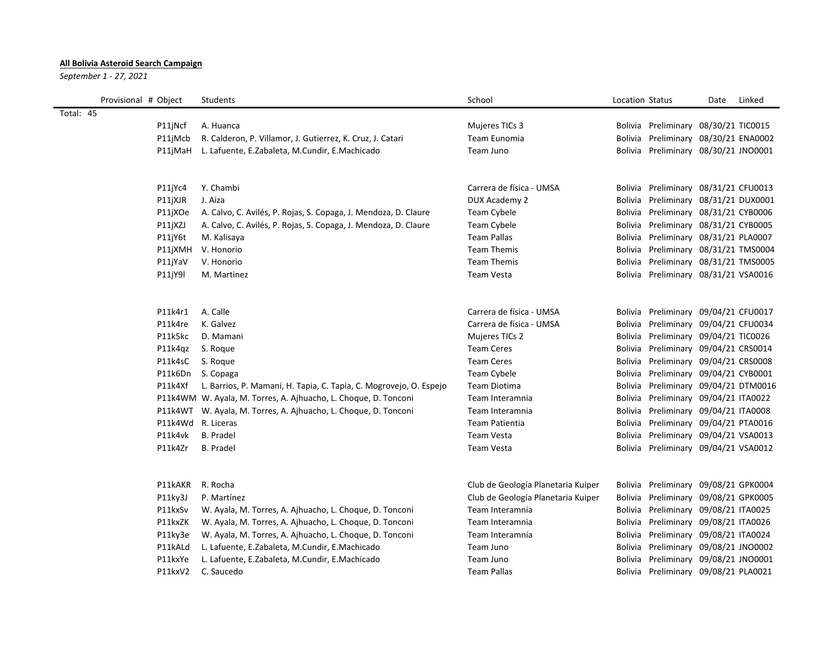## **All Bolivia Asteroid Search Campaign**

*September 1 - 27, 2021*

| Provisional # Object | Students                                                           | School                             | Location Status |                                      | Date | Linked |
|----------------------|--------------------------------------------------------------------|------------------------------------|-----------------|--------------------------------------|------|--------|
| Total: 45            |                                                                    |                                    |                 |                                      |      |        |
| P11jNcf              | A. Huanca                                                          | Mujeres TICs 3                     |                 | Bolivia Preliminary 08/30/21 TIC0015 |      |        |
| P11jMcb              | R. Calderon, P. Villamor, J. Gutierrez, K. Cruz, J. Catari         | Team Eunomia                       |                 | Bolivia Preliminary 08/30/21 ENA0002 |      |        |
|                      | P11jMaH L. Lafuente, E.Zabaleta, M.Cundir, E.Machicado             | Team Juno                          |                 | Bolivia Preliminary 08/30/21 JNO0001 |      |        |
|                      |                                                                    |                                    |                 |                                      |      |        |
|                      |                                                                    |                                    |                 |                                      |      |        |
| P11jYc4              | Y. Chambi                                                          | Carrera de física - UMSA           |                 | Bolivia Preliminary 08/31/21 CFU0013 |      |        |
| P11jXJR              | J. Aiza                                                            | DUX Academy 2                      |                 | Bolivia Preliminary 08/31/21 DUX0001 |      |        |
| P11jXOe              | A. Calvo, C. Avilés, P. Rojas, S. Copaga, J. Mendoza, D. Claure    | <b>Team Cybele</b>                 |                 | Bolivia Preliminary 08/31/21 CYB0006 |      |        |
| P11jXZJ              | A. Calvo, C. Avilés, P. Rojas, S. Copaga, J. Mendoza, D. Claure    | Team Cybele                        |                 | Bolivia Preliminary 08/31/21 CYB0005 |      |        |
| P11jY6t              | M. Kalisaya                                                        | <b>Team Pallas</b>                 |                 | Bolivia Preliminary 08/31/21 PLA0007 |      |        |
| P11jXMH              | V. Honorio                                                         | <b>Team Themis</b>                 |                 | Bolivia Preliminary 08/31/21 TMS0004 |      |        |
| P11jYaV              | V. Honorio                                                         | <b>Team Themis</b>                 |                 | Bolivia Preliminary 08/31/21 TMS0005 |      |        |
| P11jY9l              | M. Martinez                                                        | <b>Team Vesta</b>                  |                 | Bolivia Preliminary 08/31/21 VSA0016 |      |        |
|                      |                                                                    |                                    |                 |                                      |      |        |
| P11k4r1              | A. Calle                                                           | Carrera de física - UMSA           |                 | Bolivia Preliminary 09/04/21 CFU0017 |      |        |
| P11k4re              | K. Galvez                                                          | Carrera de física - UMSA           |                 | Bolivia Preliminary 09/04/21 CFU0034 |      |        |
| P11k5kc              | D. Mamani                                                          | Mujeres TICs 2                     |                 | Bolivia Preliminary 09/04/21 TIC0026 |      |        |
| P11k4qz              | S. Roque                                                           | <b>Team Ceres</b>                  |                 | Bolivia Preliminary 09/04/21 CRS0014 |      |        |
| P11k4sC              | S. Roque                                                           | <b>Team Ceres</b>                  |                 | Bolivia Preliminary 09/04/21 CRS0008 |      |        |
| P11k6Dn              | S. Copaga                                                          | Team Cybele                        |                 | Bolivia Preliminary 09/04/21 CYB0001 |      |        |
| P11k4Xf              | L. Barrios, P. Mamani, H. Tapia, C. Tapia, C. Mogrovejo, O. Espejo | Team Diotima                       |                 | Bolivia Preliminary 09/04/21 DTM0016 |      |        |
|                      | P11k4WM W. Ayala, M. Torres, A. Ajhuacho, L. Choque, D. Tonconi    | Team Interamnia                    |                 | Bolivia Preliminary 09/04/21 ITA0022 |      |        |
|                      | P11k4WT W. Ayala, M. Torres, A. Ajhuacho, L. Choque, D. Tonconi    | Team Interamnia                    |                 | Bolivia Preliminary 09/04/21 ITA0008 |      |        |
|                      | P11k4Wd R. Liceras                                                 | <b>Team Patientia</b>              |                 | Bolivia Preliminary 09/04/21 PTA0016 |      |        |
| P11k4vk              | <b>B.</b> Pradel                                                   | <b>Team Vesta</b>                  |                 | Bolivia Preliminary 09/04/21 VSA0013 |      |        |
| P11k4Zr              | B. Pradel                                                          | <b>Team Vesta</b>                  |                 | Bolivia Preliminary 09/04/21 VSA0012 |      |        |
|                      |                                                                    |                                    |                 |                                      |      |        |
|                      |                                                                    |                                    |                 |                                      |      |        |
| P11kAKR              | R. Rocha                                                           | Club de Geología Planetaria Kuiper |                 | Bolivia Preliminary 09/08/21 GPK0004 |      |        |
| P11ky3J              | P. Martínez                                                        | Club de Geología Planetaria Kuiper |                 | Bolivia Preliminary 09/08/21 GPK0005 |      |        |
| P11kxSv              | W. Ayala, M. Torres, A. Ajhuacho, L. Choque, D. Tonconi            | Team Interamnia                    |                 | Bolivia Preliminary 09/08/21 ITA0025 |      |        |
| P11kxZK              | W. Ayala, M. Torres, A. Ajhuacho, L. Choque, D. Tonconi            | Team Interamnia                    |                 | Bolivia Preliminary 09/08/21 ITA0026 |      |        |
| P11ky3e              | W. Ayala, M. Torres, A. Ajhuacho, L. Choque, D. Tonconi            | Team Interamnia                    |                 | Bolivia Preliminary 09/08/21 ITA0024 |      |        |
| P11kALd              | L. Lafuente, E.Zabaleta, M.Cundir, E.Machicado                     | Team Juno                          |                 | Bolivia Preliminary 09/08/21 JNO0002 |      |        |
| P11kxYe              | L. Lafuente, E.Zabaleta, M.Cundir, E.Machicado                     | Team Juno                          |                 | Bolivia Preliminary 09/08/21 JNO0001 |      |        |
| P11kxV2              | C. Saucedo                                                         | <b>Team Pallas</b>                 |                 | Bolivia Preliminary 09/08/21 PLA0021 |      |        |